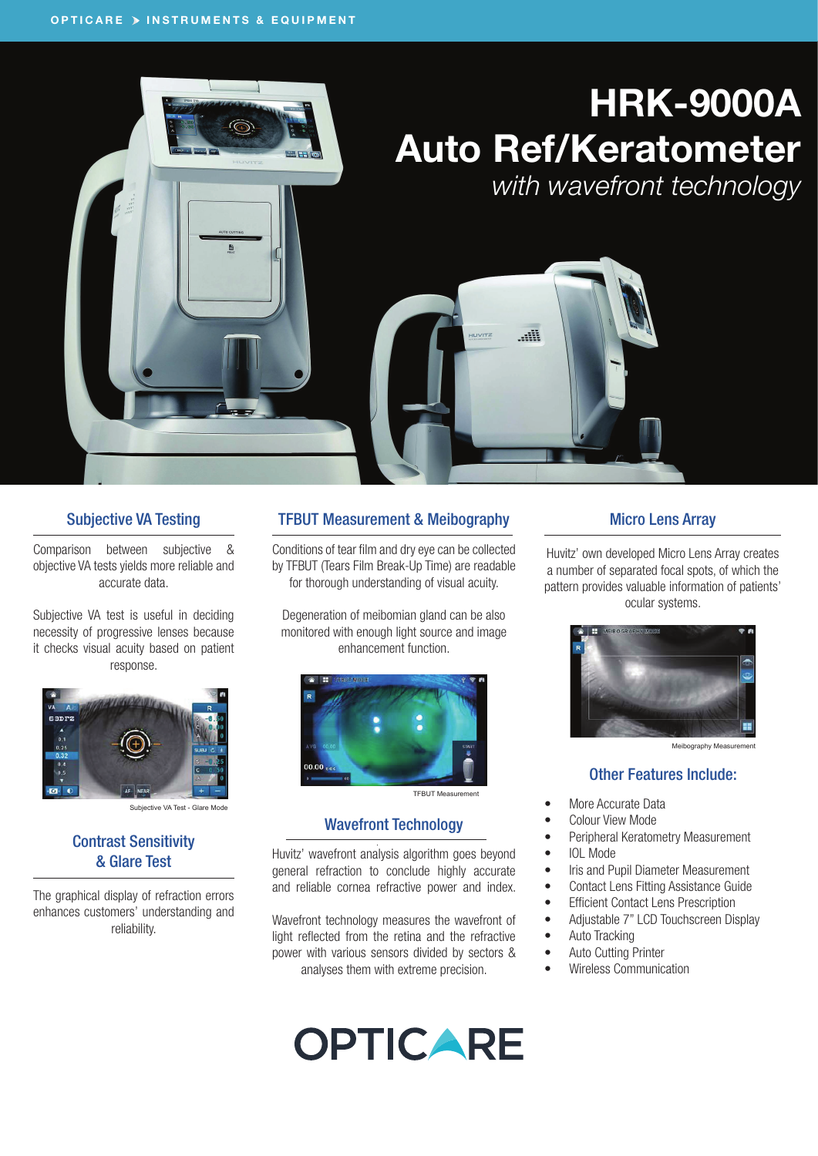# HRK-9000A Auto Ref/Keratometer

He

*with wavefront technology*

#### Subjective VA Testing

Comparison between subjective & objective VA tests yields more reliable and accurate data.

Subjective VA test is useful in deciding necessity of progressive lenses because it checks visual acuity based on patient response.



Subjective VA Test - Glare Mode

#### Contrast Sensitivity & Glare Test

The graphical display of refraction errors enhances customers' understanding and reliability.

#### TFBUT Measurement & Meibography

Conditions of tear film and dry eye can be collected by TFBUT (Tears Film Break-Up Time) are readable for thorough understanding of visual acuity.

Degeneration of meibomian gland can be also monitored with enough light source and image enhancement function.



#### TFBUT Measurement

#### Wavefront Technology

Huvitz' wavefront analysis algorithm goes beyond general refraction to conclude highly accurate and reliable cornea refractive power and index.

Wavefront technology measures the wavefront of light reflected from the retina and the refractive power with various sensors divided by sectors & analyses them with extreme precision.

# **OPTICARE**

#### Micro Lens Array

Huvitz' own developed Micro Lens Array creates a number of separated focal spots, of which the pattern provides valuable information of patients' ocular systems.



Meibography Measurement

#### Other Features Include:

- More Accurate Data
- Colour View Mode
- Peripheral Keratometry Measurement
- IOL Mode
- Iris and Pupil Diameter Measurement
- Contact Lens Fitting Assistance Guide
- Efficient Contact Lens Prescription
- Adjustable 7" LCD Touchscreen Display
- Auto Tracking
- Auto Cutting Printer
- Wireless Communication